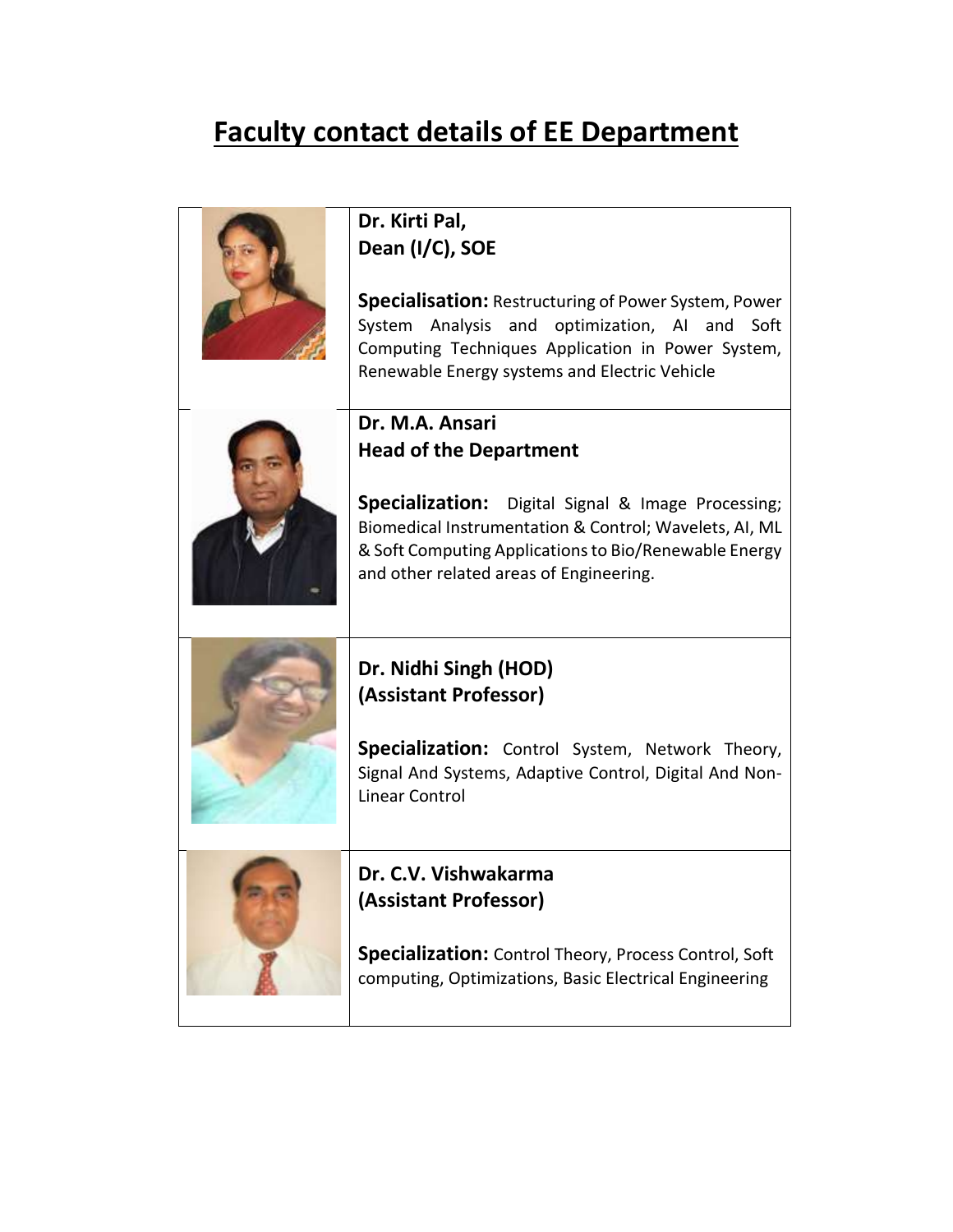## **Faculty contact details of EE Department**

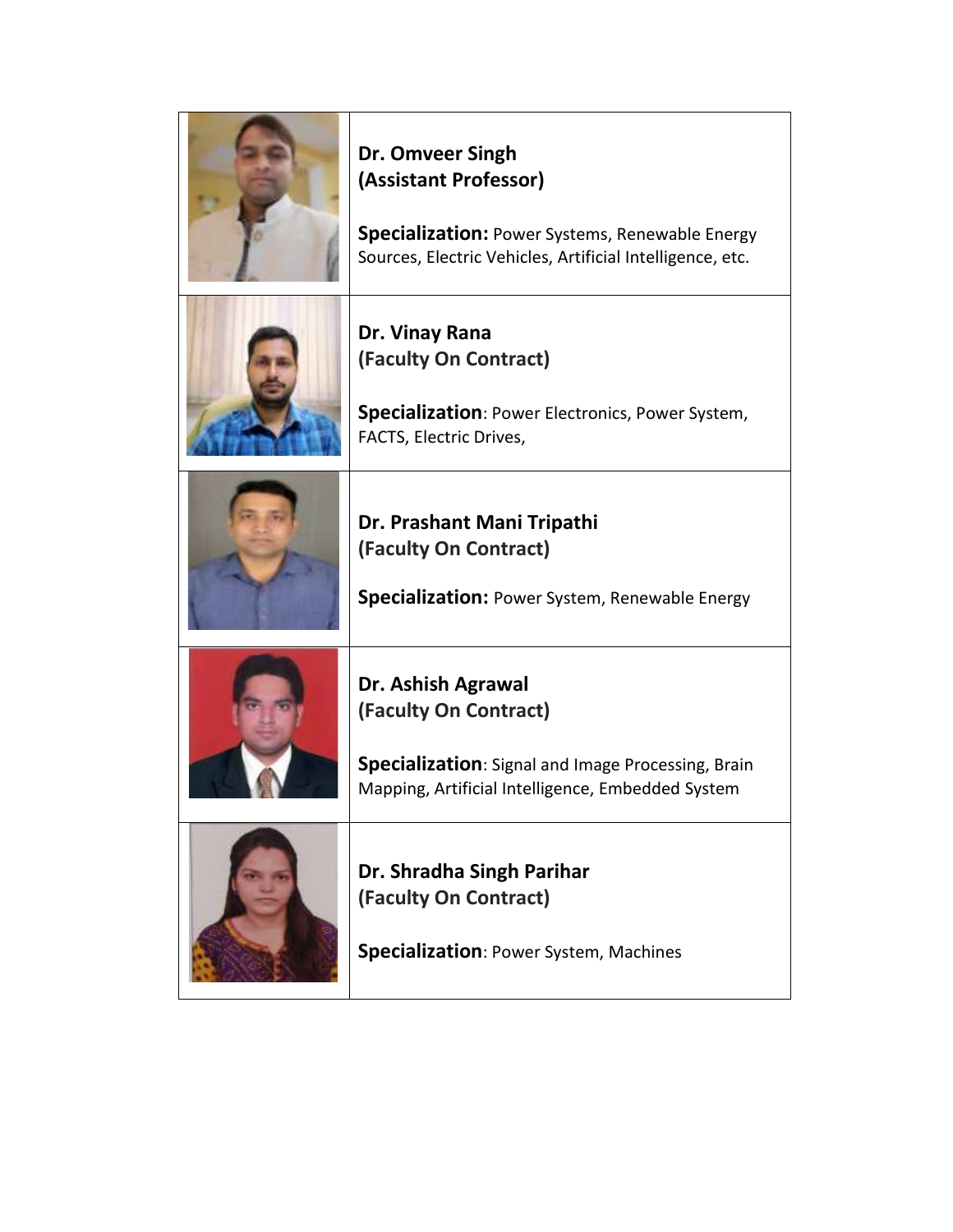| Dr. Omveer Singh<br>(Assistant Professor)<br>Specialization: Power Systems, Renewable Energy<br>Sources, Electric Vehicles, Artificial Intelligence, etc. |
|-----------------------------------------------------------------------------------------------------------------------------------------------------------|
| Dr. Vinay Rana<br>(Faculty On Contract)<br>Specialization: Power Electronics, Power System,<br>FACTS, Electric Drives,                                    |
| Dr. Prashant Mani Tripathi<br>(Faculty On Contract)<br><b>Specialization:</b> Power System, Renewable Energy                                              |
| Dr. Ashish Agrawal<br>(Faculty On Contract)<br>Specialization: Signal and Image Processing, Brain<br>Mapping, Artificial Intelligence, Embedded System    |
| Dr. Shradha Singh Parihar<br>(Faculty On Contract)<br>Specialization: Power System, Machines                                                              |